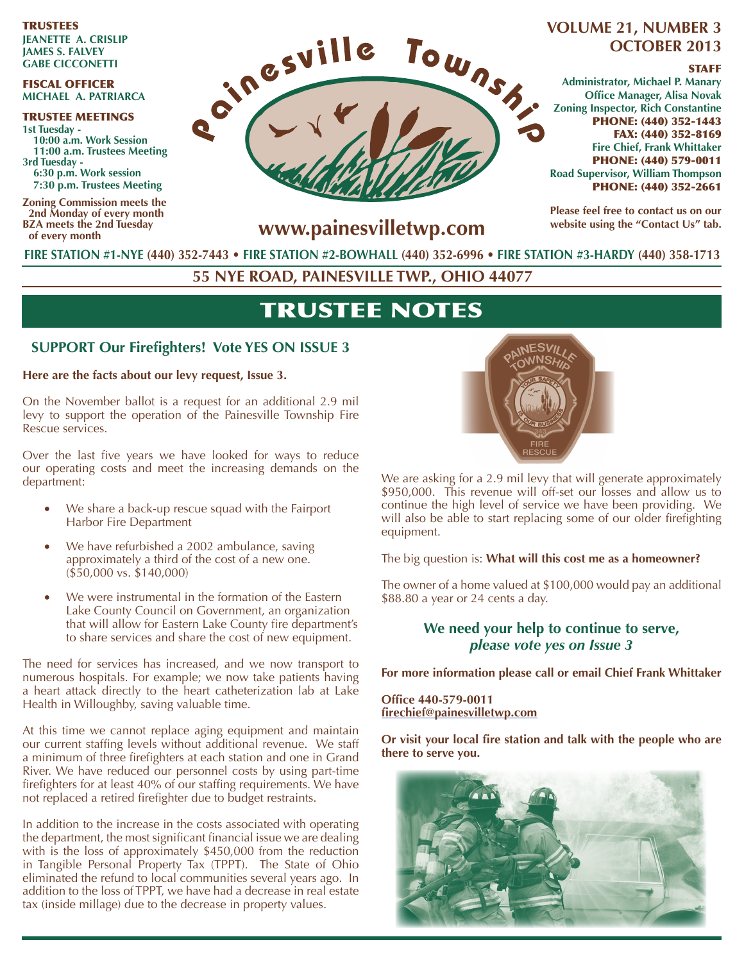TRUSTEES **JeAneTTe A. CrISlIP JAmeS S. FAlveY GAbe CICConeTTI**

#### FISCAL OFFICER **mICHAel A. PATrIArCA**

TRUSTEE MEETINGS **1st Tuesday - 10:00 a.m. Work Session 11:00 a.m. Trustees meeting 3rd Tuesday - 6:30 p.m. Work session 7:30 p.m. Trustees meeting**

**Zoning Commission meets the 2nd Monday of every month bZA meets the 2nd Tuesday of every month**



# **oCTober 2013**

#### **STAFF**

**Administrator, michael P. manary Office Manager, Alisa Novak Zoning Inspector, Rich Constantine** PHONE: (440) 352-1443 FAX: (440) 352-8169 **Fire Chief, Frank Whittaker** PHONE: (440) 579-0011 **road Supervisor, William Thompson** PHONE: (440) 352-2661

**Please feel free to contact us on our**  website using the "Contact Us" tab.

**www.painesvilletwp.com**

**FIre STATIon #1-nYe (440) 352-7443** • **FIre STATIon #2-boWHAll (440) 352-6996 • FIre STATIon #3-HArdY (440) 358-1713**

**55 nYe roAd, PAIneSvIlle TWP., oHIo 44077**

## TRUSTEE NOTES

#### **SUPPORT Our Firefighters! Vote YES ON ISSUE 3**

**Here are the facts about our levy request, Issue 3.** 

On the November ballot is a request for an additional 2.9 mil levy to support the operation of the Painesville Township Fire Rescue services.

Over the last five years we have looked for ways to reduce our operating costs and meet the increasing demands on the department:

- We share a back-up rescue squad with the Fairport Harbor Fire Department
- We have refurbished a 2002 ambulance, saving approximately a third of the cost of a new one. (\$50,000 vs. \$140,000)
- We were instrumental in the formation of the Eastern Lake County Council on Government, an organization that will allow for Eastern Lake County fire department's to share services and share the cost of new equipment.

The need for services has increased, and we now transport to numerous hospitals. For example; we now take patients having a heart attack directly to the heart catheterization lab at Lake Health in Willoughby, saving valuable time.

At this time we cannot replace aging equipment and maintain our current staffing levels without additional revenue. We staff a minimum of three firefighters at each station and one in Grand River. We have reduced our personnel costs by using part-time firefighters for at least 40% of our staffing requirements. We have not replaced a retired firefighter due to budget restraints.

In addition to the increase in the costs associated with operating the department, the most significant financial issue we are dealing with is the loss of approximately \$450,000 from the reduction in Tangible Personal Property Tax (TPPT). The State of Ohio eliminated the refund to local communities several years ago. In addition to the loss of TPPT, we have had a decrease in real estate tax (inside millage) due to the decrease in property values.



We are asking for a 2.9 mil levy that will generate approximately \$950,000. This revenue will off-set our losses and allow us to continue the high level of service we have been providing. We will also be able to start replacing some of our older firefighting equipment.

The big question is: **What will this cost me as a homeowner?** 

The owner of a home valued at \$100,000 would pay an additional \$88.80 a year or 24 cents a day.

### **We need your help to continue to serve,** *please vote yes on Issue 3*

**For more information please call or email Chief Frank Whittaker**

**Office 440-579-0011 firechief@painesvilletwp.com**

**Or visit your local fire station and talk with the people who are there to serve you.**

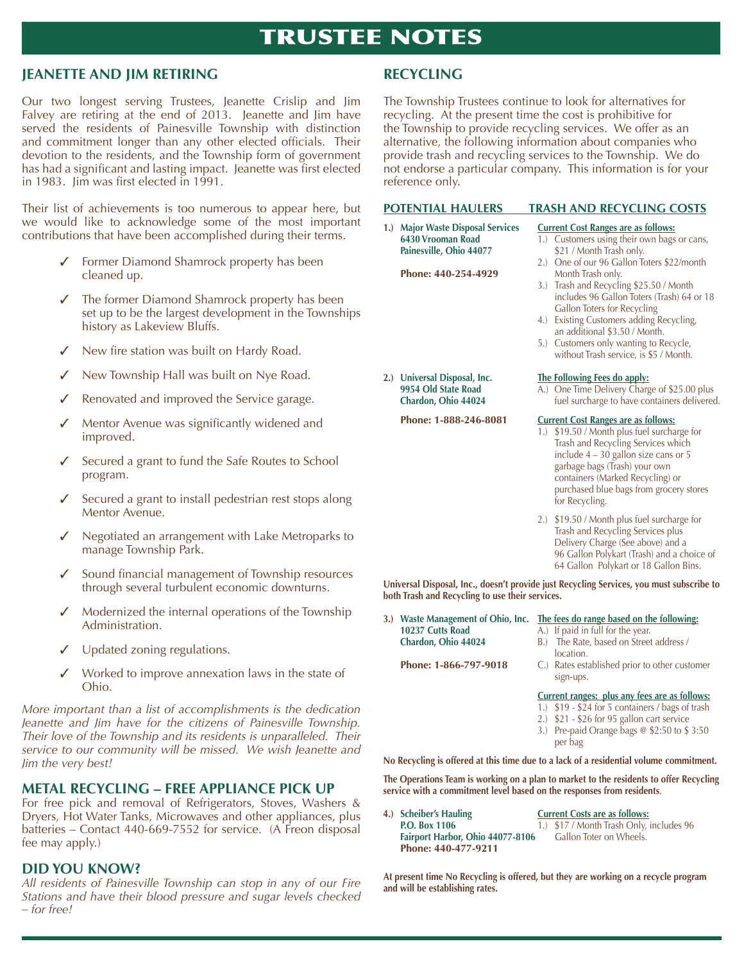## TRUSTEE NOTES

#### **JeAneTTe And JIm reTIrInG**

Our two longest serving Trustees, Jeanette Crislip and Jim Falvey are retiring at the end of 2013. Jeanette and Jim have served the residents of Painesville Township with distinction and commitment longer than any other elected officials. Their devotion to the residents, and the Township form of government has had a significant and lasting impact. Jeanette was first elected in 1983. Jim was first elected in 1991.

Their list of achievements is too numerous to appear here, but we would like to acknowledge some of the most important contributions that have been accomplished during their terms.

- ✓ Former Diamond Shamrock property has been cleaned up.
- ✓ The former Diamond Shamrock property has been set up to be the largest development in the Townships history as Lakeview Bluffs.
- New fire station was built on Hardy Road.
- New Township Hall was built on Nye Road.
- Renovated and improved the Service garage.
- Mentor Avenue was significantly widened and improved.
- Secured a grant to fund the Safe Routes to School program.
- Secured a grant to install pedestrian rest stops along Mentor Avenue.
- ✓ Negotiated an arrangement with Lake Metroparks to manage Township Park.
- Sound financial management of Township resources through several turbulent economic downturns.
- Modernized the internal operations of the Township Administration.
- ✓ Updated zoning regulations.
- ✓ Worked to improve annexation laws in the state of Ohio.

*More important than a list of accomplishments is the dedication Jeanette and Jim have for the citizens of Painesville Township. Their love of the Township and its residents is unparalleled. Their service to our community will be missed. We wish Jeanette and Jim the very best!* 

#### **meTAl reCYClInG – Free APPlIAnCe PICk uP**

For free pick and removal of Refrigerators, Stoves, Washers & Dryers, Hot Water Tanks, Microwaves and other appliances, plus batteries – Contact 440-669-7552 for service. (A Freon disposal fee may apply.)

#### **dId You knoW?**

*All residents of Painesville Township can stop in any of our Fire Stations and have their blood pressure and sugar levels checked – for free!* 

### **reCYClInG**

The Township Trustees continue to look for alternatives for recycling. At the present time the cost is prohibitive for the Township to provide recycling services. We offer as an alternative, the following information about companies who provide trash and recycling services to the Township. We do not endorse a particular company. This information is for your reference only.

#### **PoTenTIAl HAulerS TrASH And reCYClInG CoSTS**

**1.)** Major Waste Disposal Services **Current Cost Ranges are as follows: Painesville, Ohio 44077** \$21 / Month Trash only.

Phone: 440-254-4929

- **6430 Vrooman Road** 1.) Customers using their own bags or cans,
	- 2.) One of our 96 Gallon Toters \$22/month<br>Month Trash only.
	- 3.) Trash and Recycling \$25.50 / Month includes 96 Gallon Toters (Trash) 64 or 18 Gallon Toters for Recycling
	- 4.) Existing Customers adding Recycling, an additional \$3.50 / Month.
	- 5.) Customers only wanting to Recycle, without Trash service, is \$5 / Month.

## **2.) universal disposal, Inc. The Following Fees do apply:**

**9954 Old State Road** A.) One Time Delivery Charge of \$25.00 plus<br> **Chardon, Ohio 44024** fuel surcharge to have containers delivered fuel surcharge to have containers delivered.

#### **Phone: 1-888-246-8081 Current Cost Ranges are as follows:**

- 1.) \$19.50 / Month plus fuel surcharge for Trash and Recycling Services which include 4 – 30 gallon size cans or 5 garbage bags (Trash) your own containers (Marked Recycling) or purchased blue bags from grocery stores for Recycling.
- 2.) \$19.50 / Month plus fuel surcharge for Trash and Recycling Services plus Delivery Charge (See above) and a 96 Gallon Polykart (Trash) and a choice of 64 Gallon Polykart or 18 Gallon Bins.

Universal Disposal, Inc., doesn't provide just Recycling Services, you must subscribe to both Trash and Recycling to use their services.

**10237 Cutts Road** A.) If paid in full for the year.<br>**Chardon, Ohio 44024** B.) The Rate, based on Street

#### **3.) Waste management of ohio, Inc. The fees do range based on the following:**

- 
- **B.)** The Rate, based on Street address / location.
- **Phone: 1-866-797-9018** C.) Rates established prior to other customer sign-ups.

#### **Current ranges: plus any fees are as follows:**

- 1.) \$19 \$24 for 5 containers / bags of trash
- 2.) \$21 \$26 for 95 gallon cart service
- 3.) Pre-paid Orange bags @ \$2:50 to \$ 3:50 per bag

**no recycling is offered at this time due to a lack of a residential volume commitment.**

The Operations Team is working on a plan to market to the residents to offer Recycling **service with a commitment level based on the responses from residents**.

- **4.) Scheiber's Hauling Current Costs are as follows:** Fairport Harbor, Ohio 44077-8106 **Phone: 440-477-9211**
	-

**P.O. Box 1106** 1.) \$17 / Month Trash Only, includes 96<br>**Fairport Harbor, Ohio 44077-8106** Gallon Toter on Wheels.

At present time No Recycling is offered, but they are working on a recycle program **and will be establishing rates.**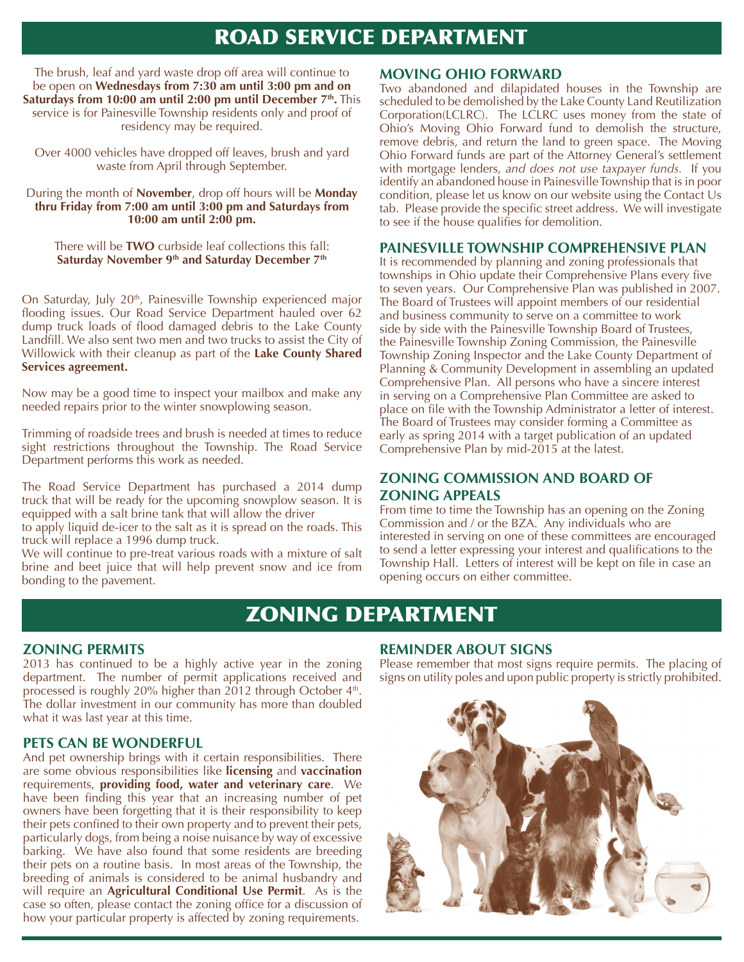## ROAD SERVICE DEPARTMENT

The brush, leaf and yard waste drop off area will continue to be open on **Wednesdays from 7:30 am until 3:00 pm and on Saturdays from 10:00 am until 2:00 pm until December 7<sup>th</sup>. This** service is for Painesville Township residents only and proof of residency may be required.

Over 4000 vehicles have dropped off leaves, brush and yard waste from April through September.

#### During the month of **november**, drop off hours will be **monday thru Friday from 7:00 am until 3:00 pm and Saturdays from 10:00 am until 2:00 pm.**

There will be **TWo** curbside leaf collections this fall: Saturday November 9<sup>th</sup> and Saturday December 7<sup>th</sup>

On Saturday, July 20<sup>th</sup>, Painesville Township experienced major flooding issues. Our Road Service Department hauled over 62 dump truck loads of flood damaged debris to the Lake County Landfill. We also sent two men and two trucks to assist the City of Willowick with their cleanup as part of the **lake County Shared Services agreement.**

Now may be a good time to inspect your mailbox and make any needed repairs prior to the winter snowplowing season.

Trimming of roadside trees and brush is needed at times to reduce sight restrictions throughout the Township. The Road Service Department performs this work as needed.

The Road Service Department has purchased a 2014 dump truck that will be ready for the upcoming snowplow season. It is equipped with a salt brine tank that will allow the driver

to apply liquid de-icer to the salt as it is spread on the roads. This truck will replace a 1996 dump truck.

We will continue to pre-treat various roads with a mixture of salt brine and beet juice that will help prevent snow and ice from bonding to the pavement.

#### **movInG oHIo ForWArd**

Two abandoned and dilapidated houses in the Township are scheduled to be demolished by the Lake County Land Reutilization Corporation(LCLRC). The LCLRC uses money from the state of Ohio's Moving Ohio Forward fund to demolish the structure, remove debris, and return the land to green space. The Moving Ohio Forward funds are part of the Attorney General's settlement with mortgage lenders, *and does not use taxpayer funds.* If you identify an abandoned house in Painesville Township that is in poor condition, please let us know on our website using the Contact Us tab. Please provide the specific street address. We will investigate to see if the house qualifies for demolition.

#### **PAIneSvIlle ToWnSHIP ComPreHenSIve PlAn**

It is recommended by planning and zoning professionals that townships in Ohio update their Comprehensive Plans every five to seven years. Our Comprehensive Plan was published in 2007. The Board of Trustees will appoint members of our residential and business community to serve on a committee to work side by side with the Painesville Township Board of Trustees, the Painesville Township Zoning Commission, the Painesville Township Zoning Inspector and the Lake County Department of Planning & Community Development in assembling an updated Comprehensive Plan. All persons who have a sincere interest in serving on a Comprehensive Plan Committee are asked to place on file with the Township Administrator a letter of interest. The Board of Trustees may consider forming a Committee as early as spring 2014 with a target publication of an updated Comprehensive Plan by mid-2015 at the latest.

#### **ZonInG CommISSIon And boArd oF ZonInG APPeAlS**

From time to time the Township has an opening on the Zoning Commission and / or the BZA. Any individuals who are interested in serving on one of these committees are encouraged to send a letter expressing your interest and qualifications to the Township Hall. Letters of interest will be kept on file in case an opening occurs on either committee.

## ZONING DEPARTMENT

#### **ZonInG PermITS**

2013 has continued to be a highly active year in the zoning department. The number of permit applications received and processed is roughly 20% higher than 2012 through October 4<sup>th</sup>. The dollar investment in our community has more than doubled what it was last year at this time.

#### **PeTS CAn be WonderFul**

And pet ownership brings with it certain responsibilities. There are some obvious responsibilities like **licensing** and **vaccination** requirements, **providing food, water and veterinary care**. We have been finding this year that an increasing number of pet owners have been forgetting that it is their responsibility to keep their pets confined to their own property and to prevent their pets, particularly dogs, from being a noise nuisance by way of excessive barking. We have also found that some residents are breeding their pets on a routine basis. In most areas of the Township, the breeding of animals is considered to be animal husbandry and will require an **Agricultural Conditional Use Permit**. As is the case so often, please contact the zoning office for a discussion of how your particular property is affected by zoning requirements.

#### **remInder AbouT SIGnS**

Please remember that most signs require permits. The placing of signs on utility poles and upon public property is strictly prohibited.